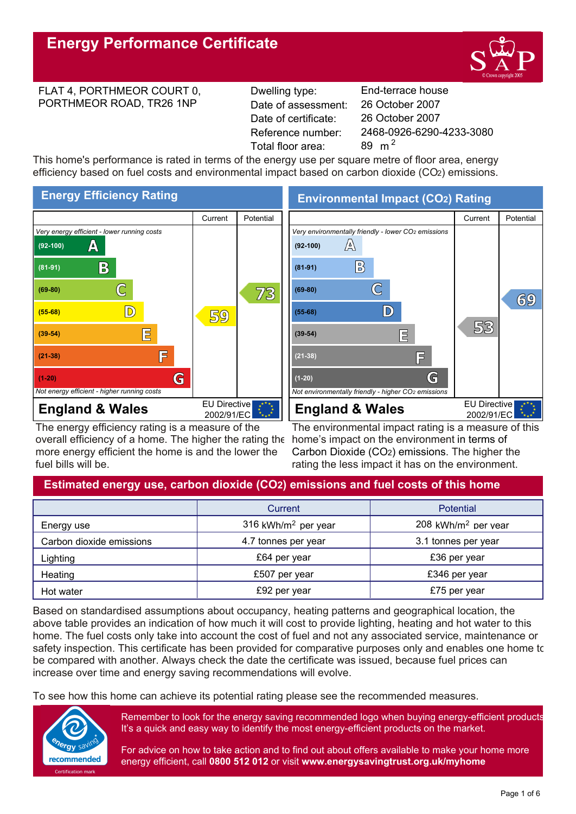

#### FLAT 4, PORTHMEOR COURT 0, PORTHMEOR ROAD, TR26 1NP

Reference number: Date of certificate: Total floor area:  $89 \text{ m}^2$ Date of assessment:

**End-terrace house** 2468-0926-6290-4233-3080  $m<sup>2</sup>$ 2 26 October 2007 26 October 2007

This home's performance is rated in terms of the energy use per square metre of floor area, energy efficiency based on fuel costs and environmental impact based on carbon dioxide (CO2) emissions.



The energy efficiency rating is a measure of the overall efficiency of a home. The higher the rating the more energy efficient the home is and the lower the fuel bills will be.

**Environmental Impact (CO2) Rating**



The environmental impact rating is a measure of this home's impact on the environment in terms of Carbon Dioxide (CO2) emissions. The higher the rating the less impact it has on the environment.

# **Estimated energy use, carbon dioxide (CO2) emissions and fuel costs of this home**

|                          | Current                         | <b>Potential</b>                |
|--------------------------|---------------------------------|---------------------------------|
| Energy use               | 316 kWh/m <sup>2</sup> per year | 208 kWh/m <sup>2</sup> per year |
| Carbon dioxide emissions | 4.7 tonnes per year             | 3.1 tonnes per year             |
| Lighting                 | £64 per year                    | £36 per year                    |
| Heating                  | £507 per year                   | £346 per year                   |
| Hot water                | £92 per year                    | £75 per year                    |

Based on standardised assumptions about occupancy, heating patterns and geographical location, the above table provides an indication of how much it will cost to provide lighting, heating and hot water to this home. The fuel costs only take into account the cost of fuel and not any associated service, maintenance or safety inspection. This certificate has been provided for comparative purposes only and enables one home to be compared with another. Always check the date the certificate was issued, because fuel prices can increase over time and energy saving recommendations will evolve.

To see how this home can achieve its potential rating please see the recommended measures.



Remember to look for the energy saving recommended logo when buying energy-efficient products. It's a quick and easy way to identify the most energy-efficient products on the market.

For advice on how to take action and to find out about offers available to make your home more energy efficient, call **0800 512 012** or visit **www.energysavingtrust.org.uk/myhome**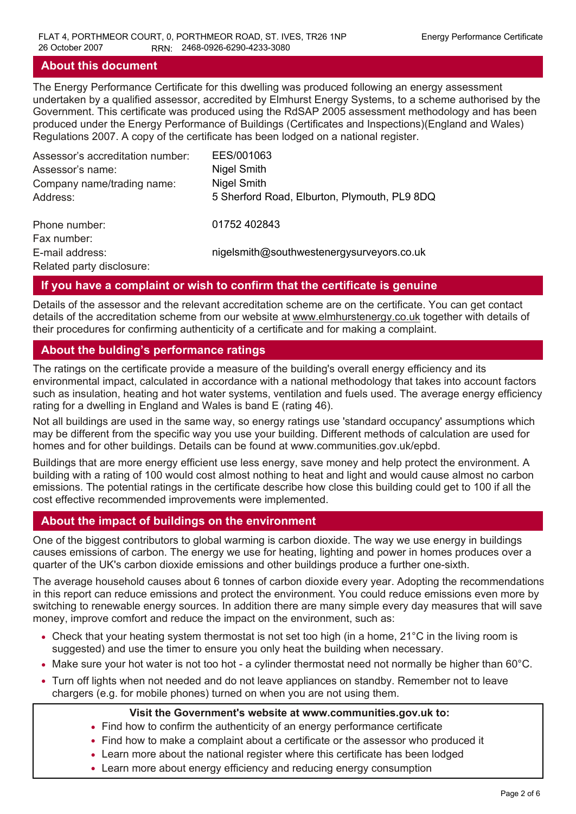## **About this document**

The Energy Performance Certificate for this dwelling was produced following an energy assessment undertaken by a qualified assessor, accredited by Elmhurst Energy Systems, to a scheme authorised by the Government. This certificate was produced using the RdSAP 2005 assessment methodology and has been produced under the Energy Performance of Buildings (Certificates and Inspections)(England and Wales) Regulations 2007. A copy of the certificate has been lodged on a national register.

| Assessor's accreditation number:<br>Assessor's name:<br>Company name/trading name: | EES/001063<br>Nigel Smith<br>Nigel Smith     |
|------------------------------------------------------------------------------------|----------------------------------------------|
| Address:                                                                           | 5 Sherford Road, Elburton, Plymouth, PL9 8DQ |
|                                                                                    |                                              |
| Phone number:                                                                      | 01752 402843                                 |
| Fax number:                                                                        |                                              |
| E-mail address:                                                                    | nigelsmith@southwestenergysurveyors.co.uk    |
| Related party disclosure:                                                          |                                              |

# **If you have a complaint or wish to confirm that the certificate is genuine**

Details of the assessor and the relevant accreditation scheme are on the certificate. You can get contact details of the accreditation scheme from our website at www.elmhurstenergy.co.uk together with details of their procedures for confirming authenticity of a certificate and for making a complaint.

# **About the bulding's performance ratings**

The ratings on the certificate provide a measure of the building's overall energy efficiency and its environmental impact, calculated in accordance with a national methodology that takes into account factors such as insulation, heating and hot water systems, ventilation and fuels used. The average energy efficiency rating for a dwelling in England and Wales is band E (rating 46).

Not all buildings are used in the same way, so energy ratings use 'standard occupancy' assumptions which may be different from the specific way you use your building. Different methods of calculation are used for homes and for other buildings. Details can be found at www.communities.gov.uk/epbd.

Buildings that are more energy efficient use less energy, save money and help protect the environment. A building with a rating of 100 would cost almost nothing to heat and light and would cause almost no carbon emissions. The potential ratings in the certificate describe how close this building could get to 100 if all the cost effective recommended improvements were implemented.

# **About the impact of buildings on the environment**

One of the biggest contributors to global warming is carbon dioxide. The way we use energy in buildings causes emissions of carbon. The energy we use for heating, lighting and power in homes produces over a quarter of the UK's carbon dioxide emissions and other buildings produce a further one-sixth.

The average household causes about 6 tonnes of carbon dioxide every year. Adopting the recommendations in this report can reduce emissions and protect the environment. You could reduce emissions even more by switching to renewable energy sources. In addition there are many simple every day measures that will save money, improve comfort and reduce the impact on the environment, such as:

- Check that your heating system thermostat is not set too high (in a home, 21°C in the living room is suggested) and use the timer to ensure you only heat the building when necessary.
- Make sure your hot water is not too hot a cylinder thermostat need not normally be higher than 60°C.
- Turn off lights when not needed and do not leave appliances on standby. Remember not to leave chargers (e.g. for mobile phones) turned on when you are not using them.

## **Visit the Government's website at www.communities.gov.uk to:**

- Find how to confirm the authenticity of an energy performance certificate • Find how to confirm the authenticity of an energy performance certificate <br>• Find how to make a complaint about a certificate or the assessor who p<br>• Learn more about the national register where this certificate has been
- Find how to make a complaint about a certificate or the assessor who produced it
- Learn more about the national register where this certificate has been lodged  $\vert$
-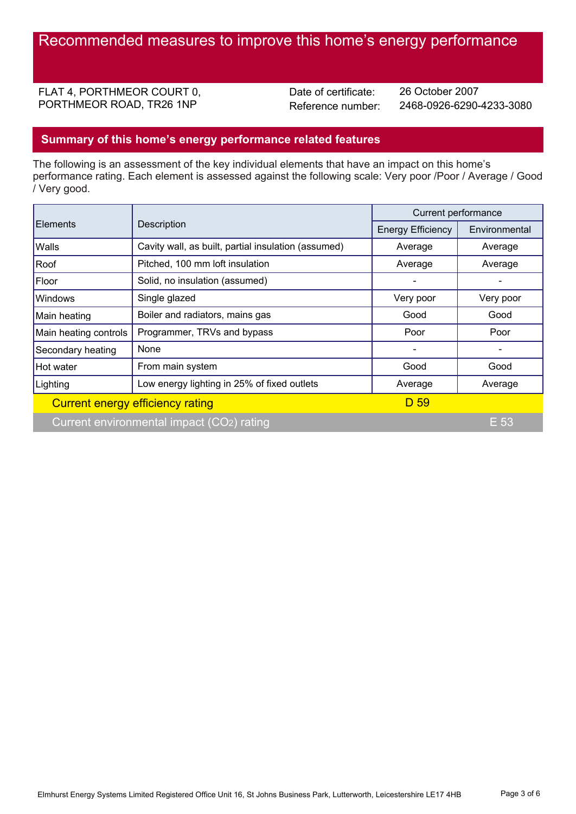FLAT 4, PORTHMEOR COURT 0, PORTHMEOR ROAD, TR26 1NP

Date of certificate:

Reference number: 2468-0926-6290-4233-3080 26 October 2007

# **Summary of this home's energy performance related features**

The following is an assessment of the key individual elements that have an impact on this home's performance rating. Each element is assessed against the following scale: Very poor /Poor / Average / Good / Very good.

|                       |                                                     | Current performance      |                                                                                     |
|-----------------------|-----------------------------------------------------|--------------------------|-------------------------------------------------------------------------------------|
| Elements              | Description                                         | <b>Energy Efficiency</b> | Environmental<br>Average<br>Average<br>Very poor<br>Good<br>Poor<br>Good<br>Average |
| <b>Walls</b>          | Cavity wall, as built, partial insulation (assumed) | Average                  |                                                                                     |
| Roof                  | Pitched, 100 mm loft insulation                     | Average                  |                                                                                     |
| Floor                 | Solid, no insulation (assumed)                      |                          |                                                                                     |
| <b>Windows</b>        | Single glazed                                       | Very poor                |                                                                                     |
| Main heating          | Boiler and radiators, mains gas                     | Good                     |                                                                                     |
| Main heating controls | Programmer, TRVs and bypass                         | Poor                     |                                                                                     |
| Secondary heating     | None                                                |                          |                                                                                     |
| Hot water             | From main system                                    | Good                     |                                                                                     |
| Lighting              | Low energy lighting in 25% of fixed outlets         | Average                  |                                                                                     |
|                       | Current energy efficiency rating                    | D 59                     |                                                                                     |
|                       | Current environmental impact (CO2) rating           |                          | E 53                                                                                |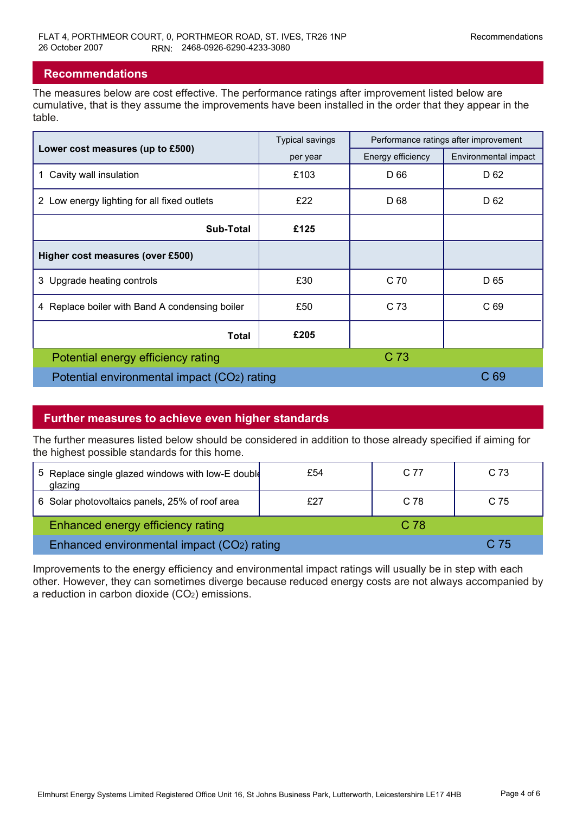# **Recommendations**

The measures below are cost effective. The performance ratings after improvement listed below are cumulative, that is they assume the improvements have been installed in the order that they appear in the table.

|                                                | <b>Typical savings</b> | Performance ratings after improvement |                      |
|------------------------------------------------|------------------------|---------------------------------------|----------------------|
| Lower cost measures (up to £500)               | per year               | Energy efficiency                     | Environmental impact |
| 1 Cavity wall insulation                       | £103                   | D 66                                  | D <sub>62</sub>      |
| 2 Low energy lighting for all fixed outlets    | £22                    | D 68                                  | D 62                 |
| <b>Sub-Total</b>                               | £125                   |                                       |                      |
| Higher cost measures (over £500)               |                        |                                       |                      |
| 3 Upgrade heating controls                     | £30                    | C 70                                  | D 65                 |
| 4 Replace boiler with Band A condensing boiler | £50                    | C 73                                  | C 69                 |
| Total                                          | £205                   |                                       |                      |
| Potential energy efficiency rating             |                        | C 73                                  |                      |
| Potential environmental impact (CO2) rating    |                        |                                       | C <sub>69</sub>      |

# **Further measures to achieve even higher standards**

The further measures listed below should be considered in addition to those already specified if aiming for the highest possible standards for this home.

|                                            | 5 Replace single glazed windows with low-E double<br>glazing | £54 | C 77 | C <sub>73</sub> |  |
|--------------------------------------------|--------------------------------------------------------------|-----|------|-----------------|--|
|                                            | 6 Solar photovoltaics panels, 25% of roof area               | £27 | C 78 | C <sub>75</sub> |  |
|                                            | <b>Enhanced energy efficiency rating</b>                     |     | C 78 |                 |  |
| Enhanced environmental impact (CO2) rating |                                                              |     | C 75 |                 |  |

Improvements to the energy efficiency and environmental impact ratings will usually be in step with each other. However, they can sometimes diverge because reduced energy costs are not always accompanied by a reduction in carbon dioxide (CO2) emissions.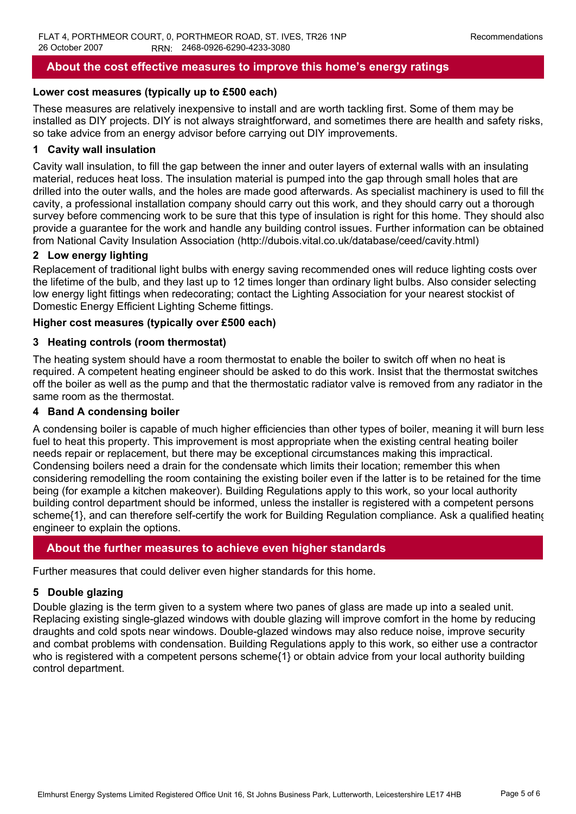# **About the cost effective measures to improve this home's energy ratings**

#### **Lower cost measures (typically up to £500 each)**

These measures are relatively inexpensive to install and are worth tackling first. Some of them may be installed as DIY projects. DIY is not always straightforward, and sometimes there are health and safety risks, so take advice from an energy advisor before carrying out DIY improvements.

## **1 Cavity wall insulation**

Cavity wall insulation, to fill the gap between the inner and outer layers of external walls with an insulating material, reduces heat loss. The insulation material is pumped into the gap through small holes that are drilled into the outer walls, and the holes are made good afterwards. As specialist machinery is used to fill the cavity, a professional installation company should carry out this work, and they should carry out a thorough survey before commencing work to be sure that this type of insulation is right for this home. They should also provide a guarantee for the work and handle any building control issues. Further information can be obtained from National Cavity Insulation Association (http://dubois.vital.co.uk/database/ceed/cavity.html)

## **2 Low energy lighting**

Replacement of traditional light bulbs with energy saving recommended ones will reduce lighting costs over the lifetime of the bulb, and they last up to 12 times longer than ordinary light bulbs. Also consider selecting low energy light fittings when redecorating; contact the Lighting Association for your nearest stockist of Domestic Energy Efficient Lighting Scheme fittings.

#### **Higher cost measures (typically over £500 each)**

#### **3 Heating controls (room thermostat)**

The heating system should have a room thermostat to enable the boiler to switch off when no heat is required. A competent heating engineer should be asked to do this work. Insist that the thermostat switches off the boiler as well as the pump and that the thermostatic radiator valve is removed from any radiator in the same room as the thermostat.

#### **4 Band A condensing boiler**

A condensing boiler is capable of much higher efficiencies than other types of boiler, meaning it will burn less fuel to heat this property. This improvement is most appropriate when the existing central heating boiler needs repair or replacement, but there may be exceptional circumstances making this impractical. Condensing boilers need a drain for the condensate which limits their location; remember this when considering remodelling the room containing the existing boiler even if the latter is to be retained for the time being (for example a kitchen makeover). Building Regulations apply to this work, so your local authority building control department should be informed, unless the installer is registered with a competent persons scheme{1}, and can therefore self-certify the work for Building Regulation compliance. Ask a qualified heating engineer to explain the options.

## **About the further measures to achieve even higher standards**

Further measures that could deliver even higher standards for this home.

## **5 Double glazing**

Double glazing is the term given to a system where two panes of glass are made up into a sealed unit. Replacing existing single-glazed windows with double glazing will improve comfort in the home by reducing draughts and cold spots near windows. Double-glazed windows may also reduce noise, improve security and combat problems with condensation. Building Regulations apply to this work, so either use a contractor who is registered with a competent persons scheme{1} or obtain advice from your local authority building control department.